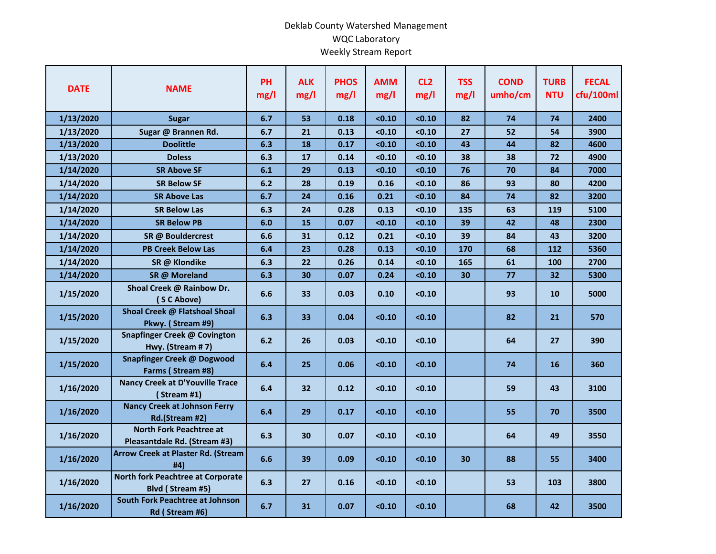## Deklab County Watershed Management WQC Laboratory Weekly Stream Report

| <b>DATE</b> | <b>NAME</b>                                                    | <b>PH</b><br>mg/l | <b>ALK</b><br>mg/l | <b>PHOS</b><br>mg/l | <b>AMM</b><br>mg/l | CL <sub>2</sub><br>mg/l | <b>TSS</b><br>mg/l | <b>COND</b><br>umho/cm | <b>TURB</b><br><b>NTU</b> | <b>FECAL</b><br>cfu/100ml |
|-------------|----------------------------------------------------------------|-------------------|--------------------|---------------------|--------------------|-------------------------|--------------------|------------------------|---------------------------|---------------------------|
| 1/13/2020   | <b>Sugar</b>                                                   | 6.7               | 53                 | 0.18                | < 0.10             | < 0.10                  | 82                 | 74                     | 74                        | 2400                      |
| 1/13/2020   | Sugar @ Brannen Rd.                                            | 6.7               | 21                 | 0.13                | < 0.10             | < 0.10                  | 27                 | 52                     | 54                        | 3900                      |
| 1/13/2020   | <b>Doolittle</b>                                               | 6.3               | 18                 | 0.17                | < 0.10             | < 0.10                  | 43                 | 44                     | 82                        | 4600                      |
| 1/13/2020   | <b>Doless</b>                                                  | 6.3               | 17                 | 0.14                | < 0.10             | < 0.10                  | 38                 | 38                     | 72                        | 4900                      |
| 1/14/2020   | <b>SR Above SF</b>                                             | 6.1               | 29                 | 0.13                | < 0.10             | < 0.10                  | 76                 | 70                     | 84                        | 7000                      |
| 1/14/2020   | <b>SR Below SF</b>                                             | 6.2               | 28                 | 0.19                | 0.16               | < 0.10                  | 86                 | 93                     | 80                        | 4200                      |
| 1/14/2020   | <b>SR Above Las</b>                                            | 6.7               | 24                 | 0.16                | 0.21               | < 0.10                  | 84                 | 74                     | 82                        | 3200                      |
| 1/14/2020   | <b>SR Below Las</b>                                            | 6.3               | 24                 | 0.28                | 0.13               | < 0.10                  | 135                | 63                     | 119                       | 5100                      |
| 1/14/2020   | <b>SR Below PB</b>                                             | 6.0               | 15                 | 0.07                | < 0.10             | < 0.10                  | 39                 | 42                     | 48                        | 2300                      |
| 1/14/2020   | SR @ Bouldercrest                                              | 6.6               | 31                 | 0.12                | 0.21               | < 0.10                  | 39                 | 84                     | 43                        | 3200                      |
| 1/14/2020   | <b>PB Creek Below Las</b>                                      | 6.4               | 23                 | 0.28                | 0.13               | < 0.10                  | 170                | 68                     | 112                       | 5360                      |
| 1/14/2020   | SR @ Klondike                                                  | 6.3               | 22                 | 0.26                | 0.14               | < 0.10                  | 165                | 61                     | 100                       | 2700                      |
| 1/14/2020   | SR @ Moreland                                                  | 6.3               | 30                 | 0.07                | 0.24               | < 0.10                  | 30                 | 77                     | 32                        | 5300                      |
| 1/15/2020   | Shoal Creek @ Rainbow Dr.<br>(SC Above)                        | 6.6               | 33                 | 0.03                | 0.10               | < 0.10                  |                    | 93                     | 10                        | 5000                      |
| 1/15/2020   | Shoal Creek @ Flatshoal Shoal<br>Pkwy. (Stream #9)             | 6.3               | 33                 | 0.04                | < 0.10             | < 0.10                  |                    | 82                     | 21                        | 570                       |
| 1/15/2020   | Snapfinger Creek @ Covington<br>Hwy. (Stream #7)               | 6.2               | 26                 | 0.03                | < 0.10             | < 0.10                  |                    | 64                     | 27                        | 390                       |
| 1/15/2020   | <b>Snapfinger Creek @ Dogwood</b><br>Farms (Stream #8)         | 6.4               | 25                 | 0.06                | < 0.10             | < 0.10                  |                    | 74                     | 16                        | 360                       |
| 1/16/2020   | <b>Nancy Creek at D'Youville Trace</b><br>(Stream #1)          | 6.4               | 32                 | 0.12                | < 0.10             | < 0.10                  |                    | 59                     | 43                        | 3100                      |
| 1/16/2020   | <b>Nancy Creek at Johnson Ferry</b><br>Rd.(Stream #2)          | 6.4               | 29                 | 0.17                | < 0.10             | < 0.10                  |                    | 55                     | 70                        | 3500                      |
| 1/16/2020   | <b>North Fork Peachtree at</b><br>Pleasantdale Rd. (Stream #3) | 6.3               | 30                 | 0.07                | < 0.10             | < 0.10                  |                    | 64                     | 49                        | 3550                      |
| 1/16/2020   | <b>Arrow Creek at Plaster Rd. (Stream</b><br>#4)               | 6.6               | 39                 | 0.09                | < 0.10             | < 0.10                  | 30                 | 88                     | 55                        | 3400                      |
| 1/16/2020   | <b>North fork Peachtree at Corporate</b><br>Blvd (Stream #5)   | 6.3               | 27                 | 0.16                | < 0.10             | < 0.10                  |                    | 53                     | 103                       | 3800                      |
| 1/16/2020   | South Fork Peachtree at Johnson<br>Rd (Stream #6)              | 6.7               | 31                 | 0.07                | < 0.10             | < 0.10                  |                    | 68                     | 42                        | 3500                      |